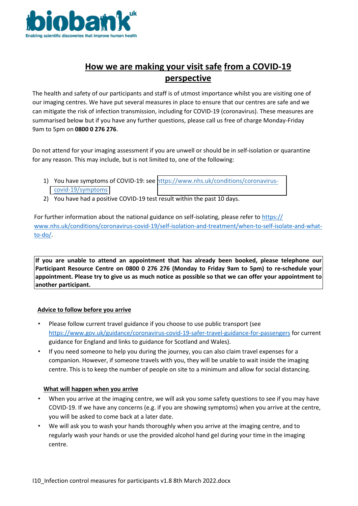

# **How we are making your visit safe from a COVID-19 perspective**

The health and safety of our participants and staff is of utmost importance whilst you are visiting one of our imaging centres. We have put several measures in place to ensure that our centres are safe and we can mitigate the risk of infection transmission, including for COVID-19 (coronavirus). These measures are summarised below but if you have any further questions, please call us free of charge Monday-Friday 9am to 5pm on **0800 0 276 276**.

Do not attend for your imaging assessment if you are unwell or should be in self-isolation or quarantine for any reason. This may include, but is not limited to, one of the following:

- 1) You have symptoms of COVID-19: see [https://www.nhs.uk/conditions/coronavirus](https://www.nhs.uk/conditions/coronavirus-covid-19/symptoms)[covid-19/symptoms](https://www.nhs.uk/conditions/coronavirus-covid-19/symptoms)
- 2) You have had a positive COVID-19 test result within the past 10 days.

For further information about the national guidance on self-isolating, please refer to https:// www.nhs.uk/conditions/coronavirus-covid-19/self-isolation-and-treatment/when-to-self-isolate-and-whatto-do/.

**If you are unable to attend an appointment that has already been booked, please telephone our Participant Resource Centre on 0800 0 276 276 (Monday to Friday 9am to 5pm) to re-schedule your appointment. Please try to give us as much notice as possible so that we can offer your appointment to another participant.**

### **Advice to follow before you arrive**

- Please follow current travel guidance if you choose to use public transport (see https://www.gov.uk/guidance/coronavirus-covid-19-safer-travel-guidance-for-passengers for current guidance for England and links to guidance for Scotland and Wales).
- If you need someone to help you during the journey, you can also claim travel expenses for a companion. However, if someone travels with you, they will be unable to wait inside the imaging centre. This is to keep the number of people on site to a minimum and allow for social distancing.

### **What will happen when you arrive**

- When you arrive at the imaging centre, we will ask you some safety questions to see if you may have COVID-19. If we have any concerns (e.g. if you are showing symptoms) when you arrive at the centre, you will be asked to come back at a later date.
- We will ask you to wash your hands thoroughly when you arrive at the imaging centre, and to regularly wash your hands or use the provided alcohol hand gel during your time in the imaging centre.